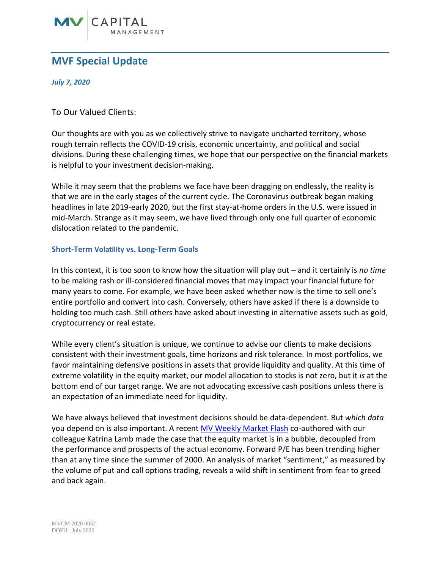

## **MVF Special Update**

*July 7, 2020*

To Our Valued Clients:

Our thoughts are with you as we collectively strive to navigate uncharted territory, whose rough terrain reflects the COVID-19 crisis, economic uncertainty, and political and social divisions. During these challenging times, we hope that our perspective on the financial markets is helpful to your investment decision-making.

While it may seem that the problems we face have been dragging on endlessly, the reality is that we are in the early stages of the current cycle. The Coronavirus outbreak began making headlines in late 2019-early 2020, but the first stay-at-home orders in the U.S. were issued in mid-March. Strange as it may seem, we have lived through only one full quarter of economic dislocation related to the pandemic.

## **Short-Term Volatility vs. Long-Term Goals**

In this context, it is too soon to know how the situation will play out – and it certainly is *no time* to be making rash or ill-considered financial moves that may impact your financial future for many years to come. For example, we have been asked whether now is the time to sell one's entire portfolio and convert into cash. Conversely, others have asked if there is a downside to holding too much cash. Still others have asked about investing in alternative assets such as gold, cryptocurrency or real estate.

While every client's situation is unique, we continue to advise our clients to make decisions consistent with their investment goals, time horizons and risk tolerance. In most portfolios, we favor maintaining defensive positions in assets that provide liquidity and quality. At this time of extreme volatility in the equity market, our model allocation to stocks is not zero, but it *is* at the bottom end of our target range. We are not advocating excessive cash positions unless there is an expectation of an immediate need for liquidity.

We have always believed that investment decisions should be data-dependent. But *which data* you depend on is also important. A recent [MV Weekly Market Flash](https://mvfinancial.com/news/mv-weekly-market-flash-calling-a-bubble-is-relatively-easy-timing-one-not-so-much/) co-authored with our colleague Katrina Lamb made the case that the equity market is in a bubble, decoupled from the performance and prospects of the actual economy. Forward P/E has been trending higher than at any time since the summer of 2000. An analysis of market "sentiment," as measured by the volume of put and call options trading, reveals a wild shift in sentiment from fear to greed and back again.